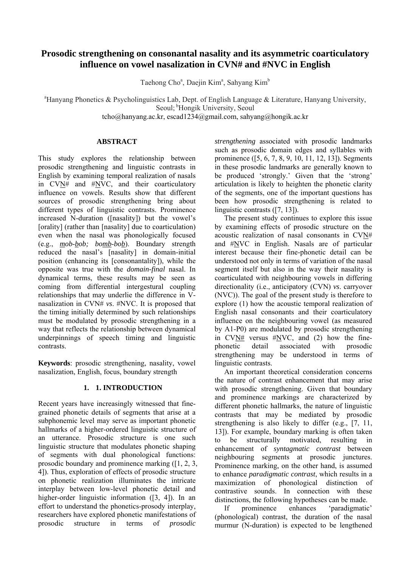# **Prosodic strengthening on consonantal nasality and its asymmetric coarticulatory influence on vowel nasalization in CVN# and #NVC in English**

Taehong Cho<sup>a</sup>, Daejin Kim<sup>a</sup>, Sahyang Kim<sup>b</sup>

<sup>a</sup>Hanyang Phonetics & Psycholinguistics Lab, Dept. of English Language & Literature, Hanyang University, Seoul; <sup>b</sup>Hongik University, Seoul

tcho@hanyang.ac.kr, escad1234@gmail.com, sahyang@hongik.ac.kr

## **ABSTRACT**

This study explores the relationship between prosodic strengthening and linguistic contrasts in English by examining temporal realization of nasals in  $CVN#$  and  $#NVC$ , and their coarticulatory influence on vowels. Results show that different sources of prosodic strengthening bring about different types of linguistic contrasts. Prominence increased N-duration ([nasality]) but the vowel's [orality] (rather than [nasality] due to coarticulation) even when the nasal was phonologically focused (e.g., *mob*-*bob; bomb*-*bob*). Boundary strength reduced the nasal's [nasality] in domain-initial position (enhancing its [consonantality]), while the opposite was true with the *domain-final* nasal. In dynamical terms, these results may be seen as coming from differential intergestural coupling relationships that may underlie the difference in Vnasalization in CVN# *vs*. #NVC. It is proposed that the timing initially determined by such relationships must be modulated by prosodic strengthening in a way that reflects the relationship between dynamical underpinnings of speech timing and linguistic contrasts.

**Keywords**: prosodic strengthening, nasality, vowel nasalization, English, focus, boundary strength

## **1. 1. INTRODUCTION**

Recent years have increasingly witnessed that finegrained phonetic details of segments that arise at a subphonemic level may serve as important phonetic hallmarks of a higher-ordered linguistic structure of an utterance. Prosodic structure is one such linguistic structure that modulates phonetic shaping of segments with dual phonological functions: prosodic boundary and prominence marking ([1, 2, 3, 4]). Thus, exploration of effects of prosodic structure on phonetic realization illuminates the intricate interplay between low-level phonetic detail and higher-order linguistic information ([3, 4]). In an effort to understand the phonetics-prosody interplay, researchers have explored phonetic manifestations of prosodic structure in terms of *prosodic* 

*strengthening* associated with prosodic landmarks such as prosodic domain edges and syllables with prominence ([5, 6, 7, 8, 9, 10, 11, 12, 13]). Segments in these prosodic landmarks are generally known to be produced 'strongly.' Given that the 'strong' articulation is likely to heighten the phonetic clarity of the segments, one of the important questions has been how prosodic strengthening is related to linguistic contrasts ([7, 13]).

The present study continues to explore this issue by examining effects of prosodic structure on the acoustic realization of nasal consonants in CVN# and #NVC in English. Nasals are of particular interest because their fine-phonetic detail can be understood not only in terms of variation of the nasal segment itself but also in the way their nasality is coarticulated with neighbouring vowels in differing directionality (i.e., anticipatory (CVN) *vs*. carryover (NVC)). The goal of the present study is therefore to explore (1) how the acoustic temporal realization of English nasal consonants and their coarticulatory influence on the neighbouring vowel (as measured by A1-P0) are modulated by prosodic strengthening in CVN# versus #NVC, and (2) how the finephonetic detail associated with prosodic strengthening may be understood in terms of linguistic contrasts.

An important theoretical consideration concerns the nature of contrast enhancement that may arise with prosodic strengthening. Given that boundary and prominence markings are characterized by different phonetic hallmarks, the nature of linguistic contrasts that may be mediated by prosodic strengthening is also likely to differ (e.g., [7, 11, 13]). For example, boundary marking is often taken to be structurally motivated, resulting in enhancement of *syntagmatic contrast* between neighbouring segments at prosodic junctures. Prominence marking, on the other hand, is assumed to enhance *paradigmatic contrast*, which results in a maximization of phonological distinction of contrastive sounds. In connection with these distinctions, the following hypotheses can be made.

If prominence enhances 'paradigmatic' (phonological) contrast, the duration of the nasal murmur (N-duration) is expected to be lengthened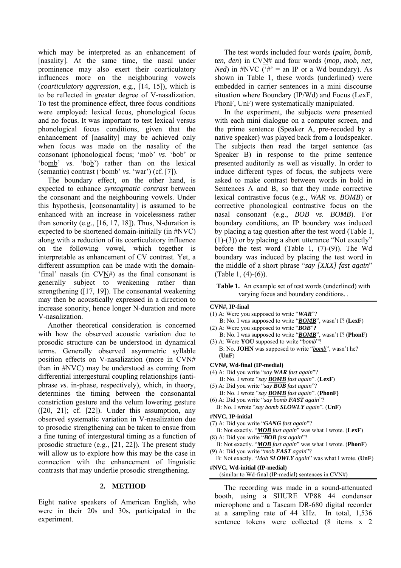which may be interpreted as an enhancement of [nasality]. At the same time, the nasal under prominence may also exert their coarticulatory influences more on the neighbouring vowels (*coarticulatory aggression*, e.g., [14, 15]), which is to be reflected in greater degree of V-nasalization. To test the prominence effect, three focus conditions were employed: lexical focus, phonological focus and no focus. It was important to test lexical versus phonological focus conditions, given that the enhancement of [nasality] may be achieved only when focus was made on the nasality of the consonant (phonological focus; 'mob' *vs*. 'bob' or 'bomb' *vs*. 'bob') rather than on the lexical (semantic) contrast ('bomb' *vs*. 'war') (cf. [7]).

The boundary effect, on the other hand, is expected to enhance *syntagmatic contrast* between the consonant and the neighbouring vowels. Under this hypothesis, [consonantality] is assumed to be enhanced with an increase in voicelessness rather than sonority (e.g.,  $[16, 17, 18]$ ). Thus, N-duration is expected to be shortened domain-initially (in #NVC) along with a reduction of its coarticulatory influence on the following vowel, which together is interpretable as enhancement of CV contrast. Yet, a different assumption can be made with the domain- 'final' nasals (in CVN#) as the final consonant is generally subject to weakening rather than strengthening ([17, 19]). The consonantal weakening may then be acoustically expressed in a direction to increase sonority, hence longer N-duration and more V-nasalization.

Another theoretical consideration is concerned with how the observed acoustic variation due to prosodic structure can be understood in dynamical terms. Generally observed asymmetric syllable position effects on V-nasalization (more in CVN# than in #NVC) may be understood as coming from differential intergestural coupling relationships (antiphrase *vs*. in-phase, respectively), which, in theory, determines the timing between the consonantal constriction gesture and the velum lowering gesture  $(20, 21)$ ; cf.  $[22]$ ). Under this assumption, any observed systematic variation in V-nasalization due to prosodic strengthening can be taken to ensue from a fine tuning of intergestural timing as a function of prosodic structure (e.g., [21, 22]). The present study will allow us to explore how this may be the case in connection with the enhancement of linguistic contrasts that may underlie prosodic strengthening.

#### **2. METHOD**

Eight native speakers of American English, who were in their 20s and 30s, participated in the experiment.

The test words included four words (*palm, bomb, ten, den*) in CVN# and four words (*mop, mob, net, Ned*) in  $\#NVC$  (' $\#$ ' = an IP or a Wd boundary). As shown in Table 1, these words (underlined) were embedded in carrier sentences in a mini discourse situation where Boundary (IP/Wd) and Focus (LexF, PhonF, UnF) were systematically manipulated.

In the experiment, the subjects were presented with each mini dialogue on a computer screen, and the prime sentence (Speaker A, pre-recoded by a native speaker) was played back from a loudspeaker. The subjects then read the target sentence (as Speaker B) in response to the prime sentence presented auditorily as well as visually. In order to induce different types of focus, the subjects were asked to make contrast between words in bold in Sentences A and B, so that they made corrective lexical contrastive focus (e.g., *WAR vs*. *BOMB*) or corrective phonological contrastive focus on the nasal consonant (e.g., *BOB vs. BOMB*). For boundary conditions, an IP boundary was induced by placing a tag question after the test word (Table 1, (1)-(3)) or by placing a short utterance "Not exactly" before the test word (Table 1, (7)-(9)). The Wd boundary was induced by placing the test word in the middle of a short phrase "*say [XXX] fast again*" (Table 1, (4)-(6)).

**Table 1.** An example set of test words (underlined) with varying focus and boundary conditions. .

#### **CVN#, IP-final**

- (1) A: Were you supposed to write "*WAR*"?
- B: No. I was supposed to write "*BOMB*", wasn't I? (**LexF**) (2) A: Were you supposed to write "*BOB*"**?**
- B: No. I was supposed to write "*BOMB*", wasn't I? (**PhonF**) (3) A: Were **YOU** supposed to write "*bomb*"?
- B: No. **JOHN** was supposed to write "*bomb*", wasn't he?  $(IInF)$
- **CVN#, Wd-final (IP-medial)**
- (4) A: Did you write "*say WAR fast again*"?
- B: No. I wrote "*say BOMB fast again*". (**LexF**)
- (5) A: Did you write "*say BOB fast again*"?
- B: No. I wrote "*say BOMB fast again*". (**PhonF)**
- (6) A: Did you write "*say bomb FAST again*"? B: No. I wrote "*say bomb SLOWLY again*"*.* (**UnF**)
- **#NVC, IP-initial**
- (7) A: Did you write "*GANG fast again*"?
- B: Not exactly. "*MOB fast again*" was what I wrote. (**LexF**) (8) A: Did you write "*BOB fast again*"?
- B: Not exactly. "*MOB fast again*" was what I wrote. (**PhonF**) (9) A: Did you write "*mob FAST again*"?

B: Not exactly. "*Mob SLOWLY again*" was what I wrote. (**UnF**)

#### **#NVC, Wd-initial (IP-medial)**

(similar to Wd-final (IP-medial) sentences in CVN#)

The recording was made in a sound-attenuated booth, using a SHURE VP88 44 condenser microphone and a Tascam DR-680 digital recorder at a sampling rate of 44 kHz. In total, 1,536 sentence tokens were collected (8 items x 2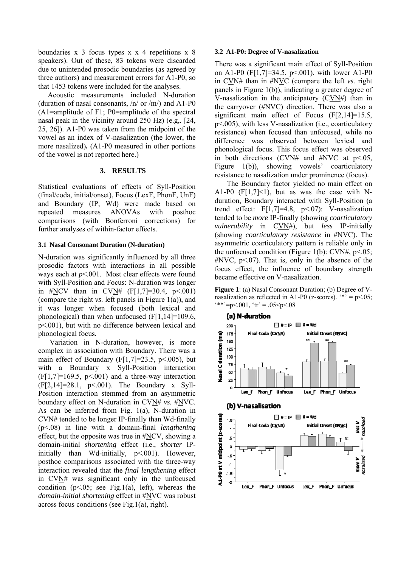boundaries x 3 focus types x x 4 repetitions x 8 speakers). Out of these, 83 tokens were discarded due to unintended prosodic boundaries (as agreed by three authors) and measurement errors for A1-P0, so that 1453 tokens were included for the analyses.

Acoustic measurements included N-duration (duration of nasal consonants, /n/ or /m/) and A1-P0 (A1=amplitude of F1; P0=amplitude of the spectral nasal peak in the vicinity around 250 Hz) (e.g,. [24, 25, 26]). A1-P0 was taken from the midpoint of the vowel as an index of V-nasalization (the lower, the more nasalized)**.** (A1-P0 measured in other portions of the vowel is not reported here.)

#### **3. RESULTS**

Statistical evaluations of effects of Syll-Position (final/coda, initial/onset), Focus (LexF, PhonF, UnF) and Boundary (IP, Wd) were made based on repeated measures ANOVAs with posthoc comparisons (with Bonferroni corrections) for further analyses of within-factor effects.

#### **3.1 Nasal Consonant Duration (N-duration)**

N-duration was significantly influenced by all three prosodic factors with interactions in all possible ways each at  $p<001$ . Most clear effects were found with Syll-Position and Focus: N-duration was longer in #NCV than in CVN#  $(F[1,7]=30.4, p<0.001)$ (compare the right *vs*. left panels in Figure 1(a)), and it was longer when focused (both lexical and phonological) than when unfocused  $(F[1, 14] = 109.6$ , p<.001), but with no difference between lexical and phonological focus.

Variation in N-duration, however, is more complex in association with Boundary. There was a main effect of Boundary (F[1,7]=23.5, p<.005), but with a Boundary x Syll-Position interaction  $(F[1,7]=169.5, p<0.01)$  and a three-way interaction (F[2,14]=28.1, p<.001). The Boundary x Syll-Position interaction stemmed from an asymmetric boundary effect on N-duration in CVN# *vs.* #NVC. As can be inferred from Fig. 1(a), N-duration in CVN# tended to be longer IP-finally than Wd-finally (p<.08) in line with a domain-final *lengthening* effect, but the opposite was true in #NCV, showing a domain-initial *shortening* effect (i.e., *shorter* IPinitially than Wd-initially, p<.001). However, posthoc comparisons associated with the three-way interaction revealed that the *final lengthening* effect in CVN# was significant only in the unfocused condition  $(p<0.05$ ; see Fig.1(a), left), whereas the *domain-initial shortening* effect in #NVC was robust across focus conditions (see Fig.1(a), right).

#### **3.2 A1-P0: Degree of V-nasalization**

There was a significant main effect of Syll-Position on A1-P0 (F[1,7]=34.5, p<.001), with lower A1-P0 in CVN# than in #NVC (compare the left *vs.* right panels in Figure 1(b)), indicating a greater degree of V-nasalization in the anticipatory (CVN#) than in the carryover  $(\#NVC)$  direction. There was also a significant main effect of Focus (F[2,14]=15.5, p<.005), with less V-nasalization (i.e., coarticulatory resistance) when focused than unfocused, while no difference was observed between lexical and phonological focus. This focus effect was observed in both directions (CVN# and #NVC at  $p<.05$ , Figure 1(b)), showing vowels' coarticulatory resistance to nasalization under prominence (focus).

The Boundary factor yielded no main effect on A1-P0  $(F[1,7] \le 1)$ , but as was the case with Nduration, Boundary interacted with Syll-Position (a trend effect:  $F[1,7]=4.8$ ,  $p<.07$ : V-nasalization tended to be *more* IP-finally (showing *coarticulatory vulnerability* in CVN#), but *less* IP-initially (showing *coarticulatory resistance* in #NVC). The asymmetric coarticulatory pattern is reliable only in the unfocused condition (Figure 1(b): CVN#,  $p<.05$ ;  $\#NVC$ , p<.07). That is, only in the absence of the focus effect, the influence of boundary strength became effective on V-nasalization.

**Figure 1**: (a) Nasal Consonant Duration; (b) Degree of Vnasalization as reflected in A1-P0 (z-scores).  $*$  = p<.05;  $**=p<.001$ ,  $'tr' = .05 < p < .08$ 

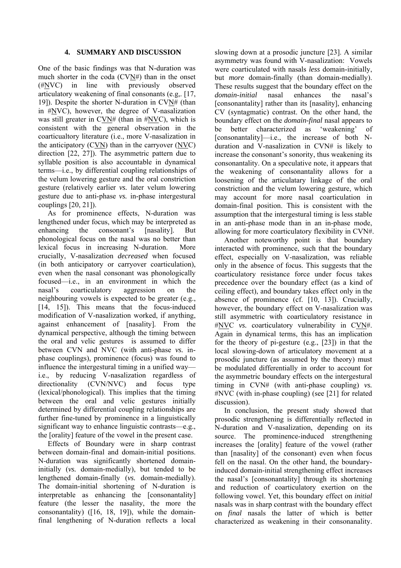## **4. SUMMARY AND DISCUSSION**

One of the basic findings was that N-duration was much shorter in the coda  $(CV N#)$  than in the onset (#NVC) in line with previously observed articulatory weakening of final consonants (e.g,. [17, 19]). Despite the shorter N-duration in CVN# (than in #NVC), however, the degree of V-nasalization was still greater in CVN# (than in #NVC), which is consistent with the general observation in the coarticualtory literature (i.e., more V-nasalization in the anticipatory (CVN) than in the carryover (NVC) direction [22, 27]). The asymmetric pattern due to syllable position is also accountable in dynamical terms—i.e., by differential coupling relationships of the velum lowering gesture and the oral constriction gesture (relatively earlier *vs.* later velum lowering gesture due to anti-phase *vs.* in-phase intergestural couplings [20, 21]).

As for prominence effects, N-duration was lengthened under focus, which may be interpreted as enhancing the consonant's [nasality]. But phonological focus on the nasal was no better than lexical focus in increasing N-duration. More crucially, V-nasalization *decreased* when focused (in both anticipatory or carryover coarticulation), even when the nasal consonant was phonologically focused—i.e., in an environment in which the nasal's coarticulatory aggression on the neighbouring vowels is expected to be greater (e.g., [14, 15]). This means that the focus-induced modification of V-nasalization worked, if anything, against enhancement of [nasality]. From the dynamical perspective, although the timing between the oral and velic gestures is assumed to differ between CVN and NVC (with anti-phase *vs.* inphase couplings), prominence (focus) was found to influence the intergestural timing in a unified way i.e., by reducing V-nasalization regardless of directionality (CVN/NVC) and focus type (lexical/phonological). This implies that the timing between the oral and velic gestures initially determined by differential coupling relationships are further fine-tuned by prominence in a linguistically significant way to enhance linguistic contrasts—e.g., the [orality] feature of the vowel in the present case.

Effects of Boundary were in sharp contrast between domain-final and domain-initial positions. N-duration was significantly shortened domaininitially (*vs.* domain-medially), but tended to be lengthened domain-finally (*vs.* domain-medially). The domain-initial shortening of N-duration is interpretable as enhancing the [consonantality] feature (the lesser the nasality, the more the consonantality) ([16, 18, 19]), while the domainfinal lengthening of N-duration reflects a local

slowing down at a prosodic juncture [23]. A similar asymmetry was found with V-nasalization: Vowels were coarticulated with nasals *less* domain-initially, but *more* domain-finally (than domain-medially). These results suggest that the boundary effect on the *domain-initial* nasal enhances the nasal's [consonantality] rather than its [nasality], enhancing CV (syntagmatic) contrast. On the other hand, the boundary effect on the *domain-final* nasal appears to be better characterized as 'weakening' of [consonantality]—i.e., the increase of both Nduration and V-nasalization in CVN# is likely to increase the consonant's sonority, thus weakening its consonantality. On a speculative note, it appears that the weakening of consonantality allows for a loosening of the articulatary linkage of the oral constriction and the velum lowering gesture, which may account for more nasal coarticulation in domain-final position. This is consistent with the assumption that the intergestural timing is less stable in an anti-phase mode than in an in-phase mode, allowing for more coarticulatory flexibility in CVN#.

Another noteworthy point is that boundary interacted with prominence, such that the boundary effect, especially on V-nasalization, was reliable only in the absence of focus. This suggests that the coarticulatory resistance force under focus takes precedence over the boundary effect (as a kind of ceiling effect), and boundary takes effect only in the absence of prominence (cf. [10, 13]). Crucially, however, the boundary effect on V-nasalization was still asymmetric with coarticulatory resistance in #NVC *vs.* coarticulatory vulnerability in CVN#. Again in dynamical terms, this has an implication for the theory of pi-gesture (e.g., [23]) in that the local slowing-down of articulatory movement at a prosodic juncture (as assumed by the theory) must be modulated differentially in order to account for the asymmetric boundary effects on the intergestural timing in CVN# (with anti-phase coupling) *vs.* #NVC (with in-phase coupling) (see [21] for related discussion).

In conclusion, the present study showed that prosodic strengthening is differentially reflected in N-duration and V-nasalization, depending on its source. The prominence-induced strengthening increases the [orality] feature of the vowel (rather than [nasality] of the consonant) even when focus fell on the nasal. On the other hand, the boundaryinduced domain-initial strengthening effect increases the nasal's [consonantality] through its shortening and reduction of coarticulatory exertion on the following vowel. Yet, this boundary effect on *initial* nasals was in sharp contrast with the boundary effect on *final* nasals the latter of which is better characterized as weakening in their consonanality.